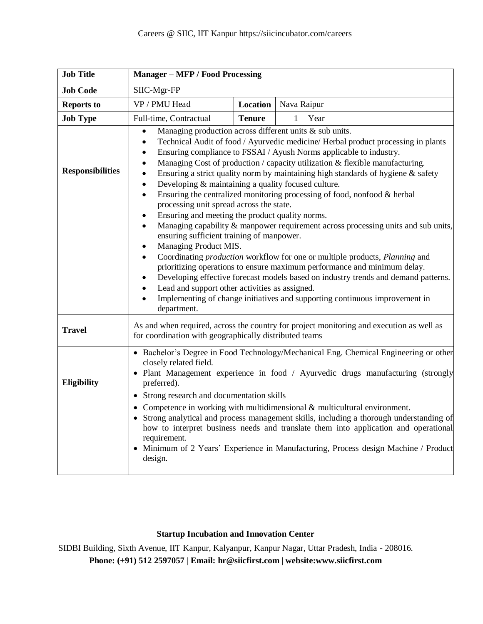| <b>Job Title</b>        | <b>Manager - MFP / Food Processing</b>                                                                                                                                                                                                                                                                                                                                                                                                                                                                                                                                                                                                                                                                                                                                                                                                                                                                                                                                                                                                                                                                                                                                                                                                                                                                                                 |               |                      |  |
|-------------------------|----------------------------------------------------------------------------------------------------------------------------------------------------------------------------------------------------------------------------------------------------------------------------------------------------------------------------------------------------------------------------------------------------------------------------------------------------------------------------------------------------------------------------------------------------------------------------------------------------------------------------------------------------------------------------------------------------------------------------------------------------------------------------------------------------------------------------------------------------------------------------------------------------------------------------------------------------------------------------------------------------------------------------------------------------------------------------------------------------------------------------------------------------------------------------------------------------------------------------------------------------------------------------------------------------------------------------------------|---------------|----------------------|--|
| <b>Job Code</b>         | SIIC-Mgr-FP                                                                                                                                                                                                                                                                                                                                                                                                                                                                                                                                                                                                                                                                                                                                                                                                                                                                                                                                                                                                                                                                                                                                                                                                                                                                                                                            |               |                      |  |
| <b>Reports to</b>       | VP / PMU Head                                                                                                                                                                                                                                                                                                                                                                                                                                                                                                                                                                                                                                                                                                                                                                                                                                                                                                                                                                                                                                                                                                                                                                                                                                                                                                                          | Location      | Nava Raipur          |  |
| <b>Job Type</b>         | Full-time, Contractual                                                                                                                                                                                                                                                                                                                                                                                                                                                                                                                                                                                                                                                                                                                                                                                                                                                                                                                                                                                                                                                                                                                                                                                                                                                                                                                 | <b>Tenure</b> | $\mathbf{1}$<br>Year |  |
| <b>Responsibilities</b> | Managing production across different units & sub units.<br>$\bullet$<br>Technical Audit of food / Ayurvedic medicine/ Herbal product processing in plants<br>$\bullet$<br>Ensuring compliance to FSSAI / Ayush Norms applicable to industry.<br>$\bullet$<br>Managing Cost of production / capacity utilization & flexible manufacturing.<br>$\bullet$<br>Ensuring a strict quality norm by maintaining high standards of hygiene $\&$ safety<br>$\bullet$<br>Developing & maintaining a quality focused culture.<br>$\bullet$<br>Ensuring the centralized monitoring processing of food, nonfood & herbal<br>$\bullet$<br>processing unit spread across the state.<br>Ensuring and meeting the product quality norms.<br>$\bullet$<br>Managing capability & manpower requirement across processing units and sub units,<br>ensuring sufficient training of manpower.<br>Managing Product MIS.<br>Coordinating production workflow for one or multiple products, Planning and<br>$\bullet$<br>prioritizing operations to ensure maximum performance and minimum delay.<br>Developing effective forecast models based on industry trends and demand patterns.<br>Lead and support other activities as assigned.<br>$\bullet$<br>Implementing of change initiatives and supporting continuous improvement in<br>$\bullet$<br>department. |               |                      |  |
| <b>Travel</b>           | As and when required, across the country for project monitoring and execution as well as<br>for coordination with geographically distributed teams                                                                                                                                                                                                                                                                                                                                                                                                                                                                                                                                                                                                                                                                                                                                                                                                                                                                                                                                                                                                                                                                                                                                                                                     |               |                      |  |
| Eligibility             | • Bachelor's Degree in Food Technology/Mechanical Eng. Chemical Engineering or other<br>closely related field.<br>• Plant Management experience in food / Ayurvedic drugs manufacturing (strongly<br>preferred).<br>• Strong research and documentation skills<br>• Competence in working with multidimensional $\&$ multicultural environment.<br>• Strong analytical and process management skills, including a thorough understanding of<br>how to interpret business needs and translate them into application and operational<br>requirement.<br>• Minimum of 2 Years' Experience in Manufacturing, Process design Machine / Product<br>design.                                                                                                                                                                                                                                                                                                                                                                                                                                                                                                                                                                                                                                                                                   |               |                      |  |

## **Startup Incubation and Innovation Center**

SIDBI Building, Sixth Avenue, IIT Kanpur, Kalyanpur, Kanpur Nagar, Uttar Pradesh, India - 208016. **Phone: (+91) 512 2597057** | **Email: [hr@siicfirst.com](mailto:hr@siicfirst.com)** | **website[:www.siicfirst.com](http://www.siicfirst.com/)**